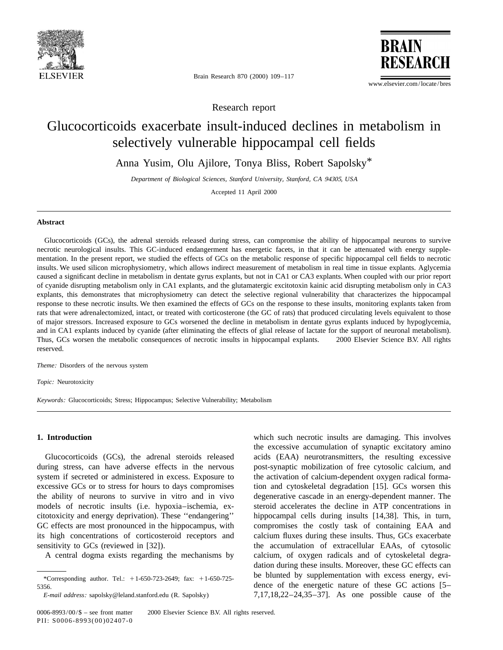

Brain Research 870 (2000) 109–117

www.elsevier.com/locate/bres

**BRAIN** 

**RESEAR** 

Research report

# Glucocorticoids exacerbate insult-induced declines in metabolism in selectively vulnerable hippocampal cell fields

Anna Yusim, Olu Ajilore, Tonya Bliss, Robert Sapolsky\*

*Department of Biological Sciences*, *Stanford University*, *Stanford*, *CA* 94305, *USA*

Accepted 11 April 2000

### **Abstract**

Glucocorticoids (GCs), the adrenal steroids released during stress, can compromise the ability of hippocampal neurons to survive necrotic neurological insults. This GC-induced endangerment has energetic facets, in that it can be attenuated with energy supplementation. In the present report, we studied the effects of GCs on the metabolic response of specific hippocampal cell fields to necrotic insults. We used silicon microphysiometry, which allows indirect measurement of metabolism in real time in tissue explants. Aglycemia caused a significant decline in metabolism in dentate gyrus explants, but not in CA1 or CA3 explants. When coupled with our prior report of cyanide disrupting metabolism only in CA1 explants, and the glutamatergic excitotoxin kainic acid disrupting metabolism only in CA3 explants, this demonstrates that microphysiometry can detect the selective regional vulnerability that characterizes the hippocampal response to these necrotic insults. We then examined the effects of GCs on the response to these insults, monitoring explants taken from rats that were adrenalectomized, intact, or treated with corticosterone (the GC of rats) that produced circulating levels equivalent to those of major stressors. Increased exposure to GCs worsened the decline in metabolism in dentate gyrus explants induced by hypoglycemia, and in CA1 explants induced by cyanide (after eliminating the effects of glial release of lactate for the support of neuronal metabolism). Thus, GCs worsen the metabolic consequences of necrotic insults in hippocampal explants.  $\oslash$  2000 Elsevier Science B.V. All rights reserved.

*Theme*: Disorders of the nervous system

*Topic*: Neurotoxicity

*Keywords*: Glucocorticoids; Stress; Hippocampus; Selective Vulnerability; Metabolism

during stress, can have adverse effects in the nervous post-synaptic mobilization of free cytosolic calcium, and system if secreted or administered in excess. Exposure to the activation of calcium-dependent oxygen radical formaexcessive GCs or to stress for hours to days compromises tion and cytoskeletal degradation [15]. GCs worsen this the ability of neurons to survive in vitro and in vivo degenerative cascade in an energy-dependent manner. The models of necrotic insults (i.e. hypoxia–ischemia, ex- steroid accelerates the decline in ATP concentrations in citotoxicity and energy deprivation). These ''endangering'' hippocampal cells during insults [14,38]. This, in turn, GC effects are most pronounced in the hippocampus, with compromises the costly task of containing EAA and its high concentrations of corticosteroid receptors and calcium fluxes during these insults. Thus, GCs exacerbate sensitivity to GCs (reviewed in [32]). the accumulation of extracellular EAAs, of cytosolic

**1. Introduction** which such necrotic insults are damaging. This involves the excessive accumulation of synaptic excitatory amino Glucocorticoids (GCs), the adrenal steroids released acids (EAA) neurotransmitters, the resulting excessive A central dogma exists regarding the mechanisms by calcium, of oxygen radicals and of cytoskeletal degradation during these insults. Moreover, these GC effects can \*Corresponding author. Tel.: +1-650-723-2649; fax: +1-650-725-<br>\*Corresponding author. Tel.: +1-650-723-2649; fax: +1-650-725-5356. dence of the energetic nature of these GC actions [5– *E*-*mail address*: sapolsky@leland.stanford.edu (R. Sapolsky) 7,17,18,22–24,35–37]. As one possible cause of the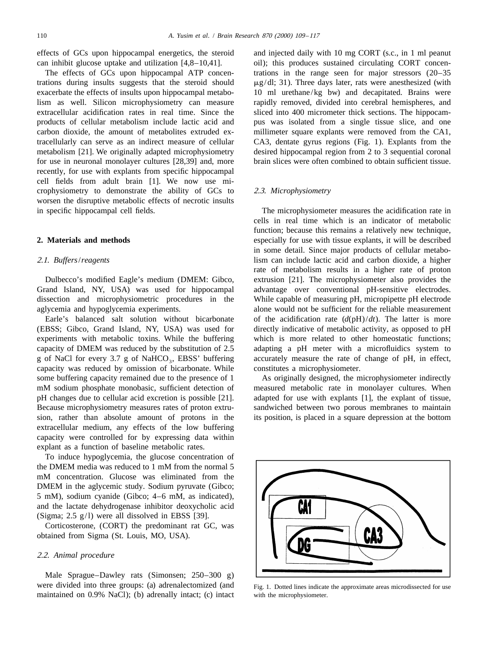trations during insults suggests that the steroid should  $\mu g/dl$ ; 31). Three days later, rats were anesthesized (with exacerbate the effects of insults upon hippocampal metabo- 10 ml urethane/kg bw) and decapitated. Brains were lism as well. Silicon microphysiometry can measure rapidly removed, divided into cerebral hemispheres, and extracellular acidification rates in real time. Since the sliced into 400 micrometer thick sections. The hippocamproducts of cellular metabolism include lactic acid and pus was isolated from a single tissue slice, and one carbon dioxide, the amount of metabolites extruded ex- millimeter square explants were removed from the CA1, tracellularly can serve as an indirect measure of cellular CA3, dentate gyrus regions (Fig. 1). Explants from the metabolism [21]. We originally adapted microphysiometry desired hippocampal region from 2 to 3 sequential coronal for use in neuronal monolayer cultures [28,39] and, more brain slices were often combined to obtain sufficient tissue. recently, for use with explants from specific hippocampal cell fields from adult brain [1]. We now use microphysiometry to demonstrate the ability of GCs to 2.3. *Microphysiometry* worsen the disruptive metabolic effects of necrotic insults in specific hippocampal cell fields. The microphysiometer measures the acidification rate in

Grand Island, NY, USA) was used for hippocampal advantage over conventional pH-sensitive electrodes. dissection and microphysiometric procedures in the While capable of measuring pH, micropipette pH electrode aglycemia and hypoglycemia experiments. alone would not be sufficient for the reliable measurement

(EBSS; Gibco, Grand Island, NY, USA) was used for directly indicative of metabolic activity, as opposed to pH experiments with metabolic toxins. While the buffering which is more related to other homeostatic functions; capacity of DMEM was reduced by the substitution of 2.5 adapting a pH meter with a microfluidics system to g of NaCl for every 3.7 g of NaHCO<sub>3</sub>, EBSS' buffering accurately measure the rate of change of pH, in effect, capacity was reduced by omission of bicarbonate. While constitutes a microphysiometer. some buffering capacity remained due to the presence of 1 As originally designed, the microphysiometer indirectly mM sodium phosphate monobasic, sufficient detection of measured metabolic rate in monolayer cultures. When pH changes due to cellular acid excretion is possible [21]. adapted for use with explants [1], the explant of tissue, Because microphysiometry measures rates of proton extru- sandwiched between two porous membranes to maintain sion, rather than absolute amount of protons in the its position, is placed in a square depression at the bottom extracellular medium, any effects of the low buffering capacity were controlled for by expressing data within explant as a function of baseline metabolic rates.

To induce hypoglycemia, the glucose concentration of the DMEM media was reduced to 1 mM from the normal 5 mM concentration. Glucose was eliminated from the DMEM in the aglycemic study. Sodium pyruvate (Gibco; 5 mM), sodium cyanide (Gibco; 4–6 mM, as indicated), and the lactate dehydrogenase inhibitor deoxycholic acid (Sigma; 2.5 g/l) were all dissolved in EBSS [39].

Corticosterone, (CORT) the predominant rat GC, was obtained from Sigma (St. Louis, MO, USA).

## 2.2. *Animal procedure*

Male Sprague–Dawley rats (Simonsen; 250–300 g) were divided into three groups: (a) adrenalectomized (and Fig. 1. Dotted lines indicate the approximate areas microdissected for use maintained on 0.9% NaCl); (b) adrenally intact; (c) intact with the microphysiometer.

effects of GCs upon hippocampal energetics, the steroid and injected daily with 10 mg CORT (s.c., in 1 ml peanut can inhibit glucose uptake and utilization  $[4,8-10,41]$ . oil); this produces sustained circulating CORT concen-The effects of GCs upon hippocampal ATP concen- trations in the range seen for major stressors (20–35

cells in real time which is an indicator of metabolic function; because this remains a relatively new technique, **2. Materials and methods** especially for use with tissue explants, it will be described in some detail. Since major products of cellular metabo-2.1. *Buffers*/*reagents* lism can include lactic acid and carbon dioxide, a higher rate of metabolism results in a higher rate of proton Dulbecco's modified Eagle's medium (DMEM: Gibco, extrusion [21]. The microphysiometer also provides the Earle's balanced salt solution without bicarbonate of the acidification rate  $(d(pH)/dt)$ . The latter is more

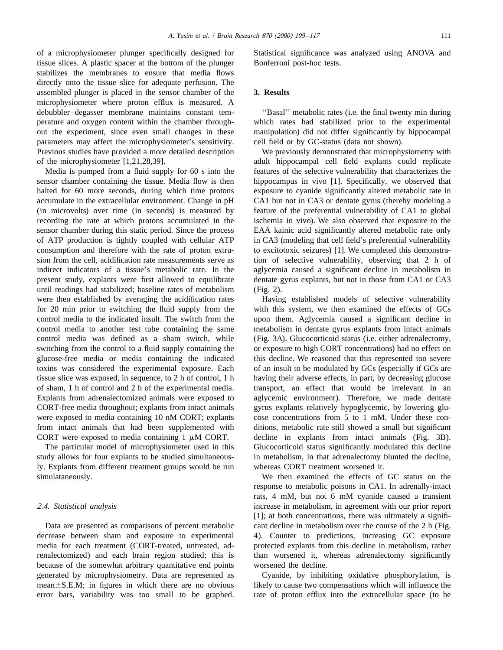of a microphysiometer plunger specifically designed for Statistical significance was analyzed using ANOVA and tissue slices. A plastic spacer at the bottom of the plunger Bonferroni post-hoc tests. stabilizes the membranes to ensure that media flows directly onto the tissue slice for adequate perfusion. The assembled plunger is placed in the sensor chamber of the **3. Results** microphysiometer where proton efflux is measured. A debubbler–degasser membrane maintains constant tem- ''Basal'' metabolic rates (i.e. the final twenty min during perature and oxygen content within the chamber through- which rates had stabilized prior to the experimental out the experiment, since even small changes in these manipulation) did not differ significantly by hippocampal parameters may affect the microphysiometer's sensitivity. cell field or by GC-status (data not shown). Previous studies have provided a more detailed description We previously demonstrated that microphysiometry with

sensor chamber containing the tissue. Media flow is then hippocampus in vivo [1]. Specifically, we observed that halted for 60 more seconds, during which time protons exposure to cyanide significantly altered metabolic rate in accumulate in the extracellular environment. Change in pH CA1 but not in CA3 or dentate gyrus (thereby modeling a (in microvolts) over time (in seconds) is measured by feature of the preferential vulnerability of CA1 to global recording the rate at which protons accumulated in the ischemia in vivo). We also observed that exposure to the sensor chamber during this static period. Since the process EAA kainic acid significantly altered metabolic rate only of ATP production is tightly coupled with cellular ATP in CA3 (modeling that cell field's preferential vulnerability consumption and therefore with the rate of proton extru- to excitotoxic seizures) [1]. We completed this demonstrasion from the cell, acidification rate measurements serve as tion of selective vulnerability, observing that 2 h of indirect indicators of a tissue's metabolic rate. In the aglycemia caused a significant decline in metabolism in present study, explants were first allowed to equilibrate dentate gyrus explants, but not in those from CA1 or CA3 until readings had stabilized; baseline rates of metabolism (Fig. 2). were then established by averaging the acidification rates Having established models of selective vulnerability for 20 min prior to switching the fluid supply from the with this system, we then examined the effects of GCs control media to the indicated insult. The switch from the upon them. Aglycemia caused a significant decline in control media to another test tube containing the same metabolism in dentate gyrus explants from intact animals control media was defined as a sham switch, while (Fig. 3A). Glucocorticoid status (i.e. either adrenalectomy, switching from the control to a fluid supply containing the or exposure to high CORT concentrations) had no effect on glucose-free media or media containing the indicated this decline. We reasoned that this represented too severe toxins was considered the experimental exposure. Each of an insult to be modulated by GCs (especially if GCs are tissue slice was exposed, in sequence, to 2 h of control, 1 h having their adverse effects, in part, by decreasing glucose of sham, 1 h of control and 2 h of the experimental media. transport, an effect that would be irrelevant in an Explants from adrenalectomized animals were exposed to aglycemic environment). Therefore, we made dentate CORT-free media throughout; explants from intact animals gyrus explants relatively hypoglycemic, by lowering gluwere exposed to media containing 10 nM CORT; explants cose concentrations from 5 to 1 mM. Under these confrom intact animals that had been supplemented with ditions, metabolic rate still showed a small but significant CORT were exposed to media containing  $1 \mu M$  CORT. decline in explants from intact animals (Fig. 3B).

ly. Explants from different treatment groups would be run whereas CORT treatment worsened it.

because of the somewhat arbitrary quantitative end points worsened the decline. generated by microphysiometry. Data are represented as Cyanide, by inhibiting oxidative phosphorylation, is

of the microphysiometer [1,21,28,39]. adult hippocampal cell field explants could replicate Media is pumped from a fluid supply for 60 s into the features of the selective vulnerability that characterizes the

The particular model of microphysiometer used in this Glucocorticoid status significantly modulated this decline study allows for four explants to be studied simultaneous- in metabolism, in that adrenalectomy blunted the decline,

simulataneously. We then examined the effects of GC status on the response to metabolic poisons in CA1. In adrenally-intact rats, 4 mM, but not 6 mM cyanide caused a transient 2.4. *Statistical analysis* increase in metabolism, in agreement with our prior report [1]; at both concentrations, there was ultimately a signifi-Data are presented as comparisons of percent metabolic cant decline in metabolism over the course of the 2 h (Fig. decrease between sham and exposure to experimental 4). Counter to predictions, increasing GC exposure media for each treatment (CORT-treated, untreated, ad- protected explants from this decline in metabolism, rather renalectomized) and each brain region studied; this is than worsened it, whereas adrenalectomy significantly

mean ± S.E.M; in figures in which there are no obvious likely to cause two compensations which will influence the error bars, variability was too small to be graphed. rate of proton efflux into the extracellular space (to be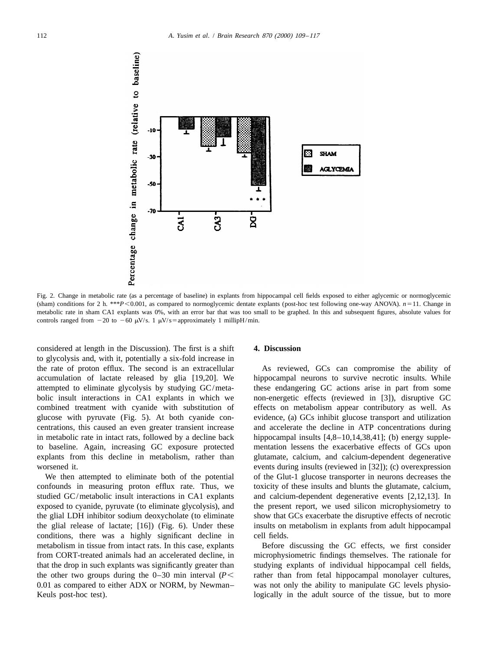

Fig. 2. Change in metabolic rate (as a percentage of baseline) in explants from hippocampal cell fields exposed to either aglycemic or normoglycemic (sham) conditions for 2 h. \*\**P* < 0.001, as compared to normoglycemic dentate explants (post-hoc test following one-way ANOVA).  $n=11$ . Change in metabolic rate in sham CA1 explants was 0%, with an error bar that was too small to be graphed. In this and subsequent figures, absolute values for controls ranged from  $-20$  to  $-60 \mu$ V/s. 1  $\mu$ V/s=approximately 1 millipH/min.

considered at length in the Discussion). The first is a shift **4. Discussion** to glycolysis and, with it, potentially a six-fold increase in the rate of proton efflux. The second is an extracellular As reviewed, GCs can compromise the ability of accumulation of lactate released by glia [19,20]. We hippocampal neurons to survive necrotic insults. While attempted to eliminate glycolysis by studying GC/meta- these endangering GC actions arise in part from some bolic insult interactions in CA1 explants in which we non-energetic effects (reviewed in [3]), disruptive GC combined treatment with cyanide with substitution of effects on metabolism appear contributory as well. As glucose with pyruvate (Fig. 5). At both cyanide con- evidence, (a) GCs inhibit glucose transport and utilization centrations, this caused an even greater transient increase and accelerate the decline in ATP concentrations during in metabolic rate in intact rats, followed by a decline back hippocampal insults  $[4,8-10,14,38,41]$ ; (b) energy suppleto baseline. Again, increasing GC exposure protected mentation lessens the exacerbative effects of GCs upon explants from this decline in metabolism, rather than glutamate, calcium, and calcium-dependent degenerative

confounds in measuring proton efflux rate. Thus, we toxicity of these insults and blunts the glutamate, calcium, studied GC/metabolic insult interactions in CA1 explants and calcium-dependent degenerative events [2,12,13]. In exposed to cyanide, pyruvate (to eliminate glycolysis), and the present report, we used silicon microphysiometry to the glial LDH inhibitor sodium deoxycholate (to eliminate show that GCs exacerbate the disruptive effects of necrotic the glial release of lactate; [16]) (Fig. 6). Under these insults on metabolism in explants from adult hippocampal conditions, there was a highly significant decline in cell fields. metabolism in tissue from intact rats. In this case, explants Before discussing the GC effects, we first consider

worsened it. events during insults (reviewed in [32]); (c) overexpression We then attempted to eliminate both of the potential of the Glut-1 glucose transporter in neurons decreases the

from CORT-treated animals had an accelerated decline, in microphysiometric findings themselves. The rationale for that the drop in such explants was significantly greater than studying explants of individual hippocampal cell fields, the other two groups during the  $0-30$  min interval  $(P<$  rather than from fetal hippocampal monolayer cultures, 0.01 as compared to either ADX or NORM, by Newman– was not only the ability to manipulate GC levels physio-Keuls post-hoc test). logically in the adult source of the tissue, but to more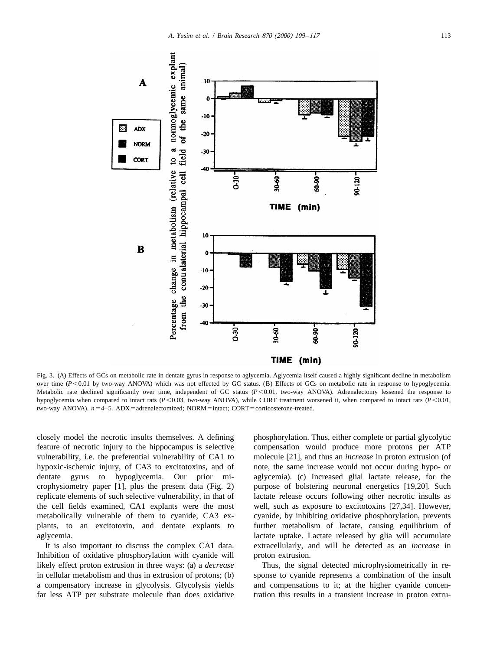

Fig. 3. (A) Effects of GCs on metabolic rate in dentate gyrus in response to aglycemia. Aglycemia itself caused a highly significant decline in metabolism over time ( $P$ <0.01 by two-way ANOVA) which was not effected by GC status. (B) Effects of GCs on metabolic rate in response to hypoglycemia. Metabolic rate declined significantly over time, independent of GC status (P<0.01, two-way ANOVA). Adrenalectomy lessened the response to hypoglycemia when compared to intact rats ( $P$ <0.03, two-way ANOVA), while CORT treatment worsened it, when compared to intact rats ( $P$ <0.01, two-way ANOVA).  $n=4-5$ . ADX = adrenalectomized; NORM = intact; CORT = corticosterone-treated.

feature of necrotic injury to the hippocampus is selective compensation would produce more protons per ATP vulnerability, i.e. the preferential vulnerability of CA1 to molecule [21], and thus an *increase* in proton extrusion (of hypoxic-ischemic injury, of CA3 to excitotoxins, and of note, the same increase would not occur during hypo- or dentate gyrus to hypoglycemia. Our prior mi- aglycemia). (c) Increased glial lactate release, for the crophysiometry paper [1], plus the present data (Fig. 2) purpose of bolstering neuronal energetics [19,20]. Such replicate elements of such selective vulnerability, in that of lactate release occurs following other necrotic insults as the cell fields examined, CA1 explants were the most well, such as exposure to excitotoxins [27,34]. However, metabolically vulnerable of them to cyanide, CA3 ex- cyanide, by inhibiting oxidative phosphorylation, prevents plants, to an excitotoxin, and dentate explants to further metabolism of lactate, causing equilibrium of aglycemia. lactate uptake. Lactate released by glia will accumulate

Inhibition of oxidative phosphorylation with cyanide will proton extrusion. likely effect proton extrusion in three ways: (a) a *decrease* Thus, the signal detected microphysiometrically in rein cellular metabolism and thus in extrusion of protons; (b) sponse to cyanide represents a combination of the insult a compensatory increase in glycolysis. Glycolysis yields and compensations to it; at the higher cyanide concenfar less ATP per substrate molecule than does oxidative tration this results in a transient increase in proton extru-

closely model the necrotic insults themselves. A defining phosphorylation. Thus, either complete or partial glycolytic It is also important to discuss the complex CA1 data. extracellularly, and will be detected as an *increase* in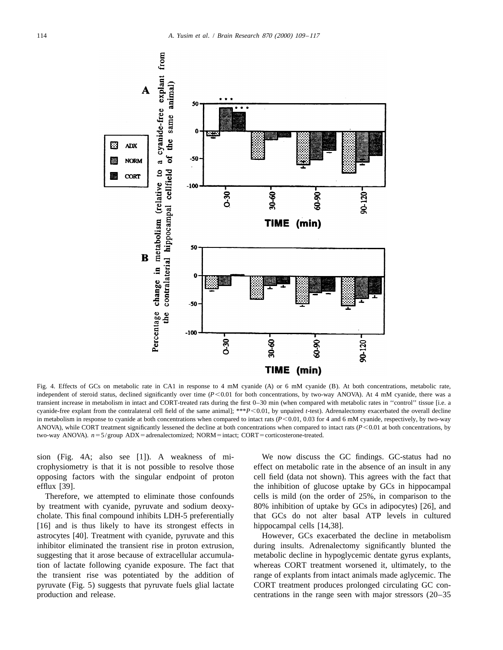

Fig. 4. Effects of GCs on metabolic rate in CA1 in response to 4 mM cyanide (A) or 6 mM cyanide (B). At both concentrations, metabolic rate, independent of steroid status, declined significantly over time (*P*<0.01 for both concentrations, by two-way ANOVA). At 4 mM cyanide, there was a transient increase in metabolism in intact and CORT-treated rats during the first 0–30 min (when compared with metabolic rates in ''control'' tissue [i.e. a cyanide-free explant from the contralateral cell field of the same animal]; \*\**P* < 0.01, by unpaired *t*-test). Adrenalectomy exacerbated the overall decline in metabolism in response to cyanide at both concentrations when compared to intact rats ( $P$ <0.01, 0.03 for 4 and 6 mM cyanide, respectively, by two-way ANOVA), while CORT treatment significantly lessened the decline at both concentrations when compared to intact rats  $(P < 0.01)$  at both concentrations, by two-way ANOVA).  $n=5/g$ roup ADX = adrenalectomized; NORM = intact; CORT = corticosterone-treated.

crophysiometry is that it is not possible to resolve those effect on metabolic rate in the absence of an insult in any opposing factors with the singular endpoint of proton cell field (data not shown). This agrees with the fact that

by treatment with cyanide, pyruvate and sodium deoxy- 80% inhibition of uptake by GCs in adipocytes) [26], and cholate. This final compound inhibits LDH-5 preferentially that GCs do not alter basal ATP levels in cultured [16] and is thus likely to have its strongest effects in hippocampal cells [14,38]. astrocytes [40]. Treatment with cyanide, pyruvate and this However, GCs exacerbated the decline in metabolism inhibitor eliminated the transient rise in proton extrusion, during insults. Adrenalectomy significantly blunted the suggesting that it arose because of extracellular accumula- metabolic decline in hypoglycemic dentate gyrus explants, tion of lactate following cyanide exposure. The fact that whereas CORT treatment worsened it, ultimately, to the the transient rise was potentiated by the addition of range of explants from intact animals made aglycemic. The pyruvate (Fig. 5) suggests that pyruvate fuels glial lactate CORT treatment produces prolonged circulating GC con-

sion (Fig. 4A; also see [1]). A weakness of mi- We now discuss the GC findings. GC-status had no efflux [39]. the inhibition of glucose uptake by GCs in hippocampal Therefore, we attempted to eliminate those confounds cells is mild (on the order of 25%, in comparison to the

production and release. centrations in the range seen with major stressors (20–35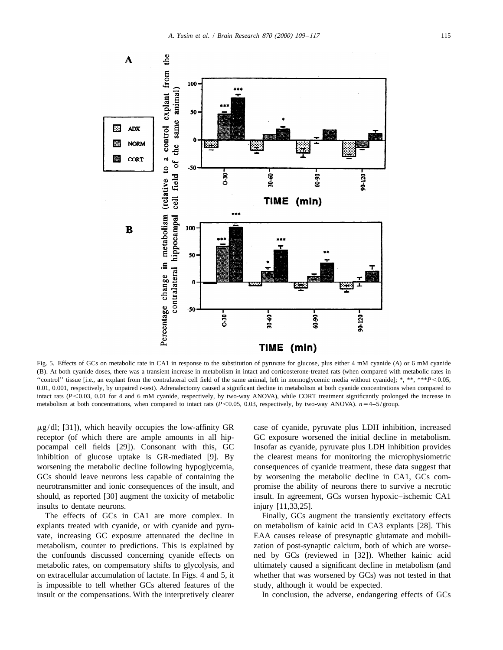

Fig. 5. Effects of GCs on metabolic rate in CA1 in response to the substitution of pyruvate for glucose, plus either 4 mM cyanide (A) or 6 mM cyanide (B). At both cyanide doses, there was a transient increase in metabolism in intact and corticosterone-treated rats (when compared with metabolic rates in ''control'' tissue [i.e., an explant from the contralateral cell field of the same animal, left in normoglycemic media without cyanide]; \*, \*\*, \*\*\**P*,0.05, 0.01, 0.001, respectively, by unpaired *t*-test). Adrenalectomy caused a significant decline in metabolism at both cyanide concentrations when compared to intact rats ( $P$ <0.03, 0.01 for 4 and 6 mM cyanide, respectively, by two-way ANOVA), while CORT treatment significantly prolonged the increase in metabolism at both concentrations, when compared to intact rats  $(P<0.05, 0.03$ , respectively, by two-way ANOVA).  $n=4-5/group$ .

 $\mu$ g/dl; [31]), which heavily occupies the low-affinity GR case of cyanide, pyruvate plus LDH inhibition, increased receptor (of which there are ample amounts in all hip- GC exposure worsened the initial decline in metabolism. pocampal cell fields [29]). Consonant with this, GC Insofar as cyanide, pyruvate plus LDH inhibition provides inhibition of glucose uptake is GR-mediated [9]. By the clearest means for monitoring the microphysiometric worsening the metabolic decline following hypoglycemia, consequences of cyanide treatment, these data suggest that GCs should leave neurons less capable of containing the by worsening the metabolic decline in CA1, GCs comneurotransmitter and ionic consequences of the insult, and promise the ability of neurons there to survive a necrotic should, as reported [30] augment the toxicity of metabolic insult. In agreement, GCs worsen hypoxic–ischemic CA1 insults to dentate neurons. injury [11,33,25].

The effects of GCs in CA1 are more complex. In Finally, GCs augment the transiently excitatory effects explants treated with cyanide, or with cyanide and pyru- on metabolism of kainic acid in CA3 explants [28]. This vate, increasing GC exposure attenuated the decline in EAA causes release of presynaptic glutamate and mobilimetabolism, counter to predictions. This is explained by zation of post-synaptic calcium, both of which are worsethe confounds discussed concerning cyanide effects on ned by GCs (reviewed in [32]). Whether kainic acid metabolic rates, on compensatory shifts to glycolysis, and ultimately caused a significant decline in metabolism (and on extracellular accumulation of lactate. In Figs. 4 and 5, it whether that was worsened by GCs) was not tested in that is impossible to tell whether GCs altered features of the study, although it would be expected. insult or the compensations. With the interpretively clearer In conclusion, the adverse, endangering effects of GCs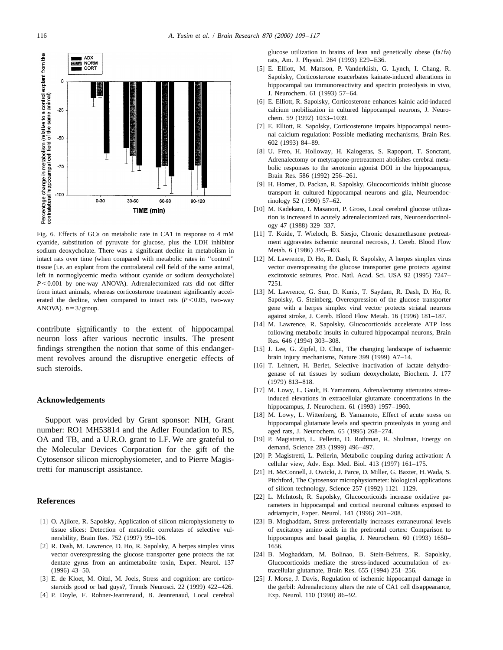

sodium deoxycholate. There was a significant decline in metabolism in Metab. 6 (1986) 395-403. intact rats over time (when compared with metabolic rates in ''control'' [12] M. Lawrence, D. Ho, R. Dash, R. Sapolsky, A herpes simplex virus tissue [i.e. an explant from the contralateral cell field of the same animal, vector overexpressing the glucose transporter gene protects against left in normoglycemic media without cyanide or sodium deoxycholate] excitotoxic seizures, Proc. Natl. Acad. Sci. USA 92 (1995) 7247– *P*<0.001 by one-way ANOVA). Adrenalectomized rats did not differ 7251. from intact animals, whereas corticosterone treatment significantly accel- [13] M. Lawrence, G. Sun, D. Kunis, T. Saydam, R. Dash, D. Ho, R. erated the decline, when compared to intact rats (*P*<0.05, two-way Sapolsky, G. Steinberg, Overexpression of the glucose transporter ANOVA).  $n=3/group$ . gene with a herpes simplex viral vector protects striatal neurons

neuron loss after various necrotic insults. The present  $Res. 646 (1994) 303-308$ . findings strengthen the notion that some of this endanger- [15] J. Lee, G. Zipfel, D. Choi, The changing landscape of ischaemic ment revolves around the disruptive energetic effects of brain injury mechanisms, Nature 399 (1999) A7–14. such steroids. The result of the such steroids. The step is a step in the step in the step in the step in the step in the step in the step in the step in the step in the step in the step in the step in the step in the step

number: RO1 MH53814 and the Adler Foundation to RS, aged rats, J. Neurochem. 65 (1995) 268–274. OA and TB, and a U.R.O. grant to LF. We are grateful to [19] P. Magistretti, L. Pellerin, D. Rothman, R. Shulman, Energy on the Molecular Devices Corporation for the gift of the<br>
Cytosensor silicon microphysiometer, and to Pierre Magis-<br>
[20] P. Magistretti, L. Pellerin, Metabolic coupling during activation: A<br>
tretti for manuscript assistance.

- 
- [2] R. Dash, M. Lawrence, D. Ho, R. Sapolsky, A herpes simplex virus 1656. vector overexpressing the glucose transporter gene protects the rat [24] B. Moghaddam, M. Bolinao, B. Stein-Behrens, R. Sapolsky, (1996) 43–50. tracellular glutamate, Brain Res. 655 (1994) 251–256.
- 
- [4] P. Doyle, F. Rohner-Jeanrenaud, B. Jeanrenaud, Local cerebral Exp. Neurol. 110 (1990) 86–92.

glucose utilization in brains of lean and genetically obese (fa/fa) rats, Am. J. Physiol. 264 (1993) E29–E36.

- [5] E. Elliott, M. Mattson, P. Vanderklish, G. Lynch, I. Chang, R. Sapolsky, Corticosterone exacerbates kainate-induced alterations in hippocampal tau immunoreactivity and spectrin proteolysis in vivo, J. Neurochem. 61 (1993) 57–64.
- [6] E. Elliott, R. Sapolsky, Corticosterone enhances kainic acid-induced calcium mobilization in cultured hippocampal neurons, J. Neurochem. 59 (1992) 1033–1039.
- [7] E. Elliott, R. Sapolsky, Corticosterone impairs hippocampal neuronal calcium regulation: Possible mediating mechanisms, Brain Res. 602 (1993) 84–89.
- [8] U. Freo, H. Holloway, H. Kalogeras, S. Rapoport, T. Soncrant, Adrenalectomy or metyrapone-pretreatment abolishes cerebral metabolic responses to the serotonin agonist DOI in the hippocampus, Brain Res. 586 (1992) 256–261.
- [9] H. Horner, D. Packan, R. Sapolsky, Glucocorticoids inhibit glucose transport in cultured hippocampal neurons and glia, Neuroendocrinology 52 (1990) 57–62.
- [10] M. Kadekaro, I. Masanori, P. Gross, Local cerebral glucose utilization is increased in acutely adrenalectomized rats, Neuroendocrinology 47 (1988) 329–337.
- Fig. 6. Effects of GCs on metabolic rate in CA1 in response to 4 mM [11] T. Koide, T. Wieloch, B. Siesjo, Chronic dexamethasone pretreatcyanide, substitution of pyruvate for glucose, plus the LDH inhibitor ment aggravates ischemic neuronal necrosis, J. Cereb. Blood Flow
	-
	- against stroke, J. Cereb. Blood Flow Metab. 16 (1996) 181–187.
- contribute significantly to the extent of hippocampal [14] M. Lawrence, R. Sapolsky, Glucocorticoids accelerate ATP loss following metabolic insults in cultured hippocampal neurons, Brain
	-
	- genase of rat tissues by sodium deoxycholate, Biochem. J. 177 (1979) 813–818.
- [17] M. Lowy, L. Gault, B. Yamamoto, Adrenalectomy attenuates stress-**Acknowledgements** induced elevations in extracellular glutamate concentrations in the hippocampus, J. Neurochem. 61 (1993) 1957–1960.
	- [18] M. Lowy, L. Wittenberg, B. Yamamoto, Effect of acute stress on Support was provided by Grant sponsor: NIH, Grant hippocampal glutamate levels and spectrin proteolysis in young and
		-
		-
		- Pitchford, The Cytosensor microphysiometer: biological applications of silicon technology, Science 257 (1992) 1121–1129.
- **References References rameters** in hippocampal and cortical neuronal cultures exposed to **References rameters** in hippocampal and cortical neuronal cultures exposed to adriamycin, Exper. Neurol. 141 (1996) 201–208.
- [1] O. Ajilore, R. Sapolsky, Application of silicon microphysiometry to [23] B. Moghaddam, Stress preferentially increases extraneuronal levels tissue slices: Detection of metabolic correlates of selective vul- of excitatory amino acids in the prefrontal cortex: Comparison to nerability, Brain Res. 752 (1997) 99-106. hippocampus and basal ganglia, J. Neurochem. 60 (1993) 1650
	- dentate gyrus from an antimetabolite toxin, Exper. Neurol. 137 Glucocorticoids mediate the stress-induced accumulation of ex-
- [3] E. de Kloet, M. Oitzl, M. Joels, Stress and cognition: are cortico- [25] J. Morse, J. Davis, Regulation of ischemic hippocampal damage in steroids good or bad guys?, Trends Neurosci. 22 (1999) 422-426. the gerbil: Adrenalectomy alters the rate of CA1 cell disappearance,